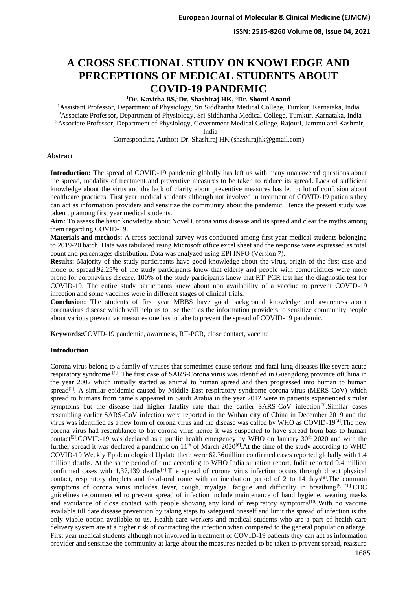**ISSN: 2515-8260 Volume 08, Issue 04, 2021**

# **A CROSS SECTIONAL STUDY ON KNOWLEDGE AND PERCEPTIONS OF MEDICAL STUDENTS ABOUT COVID-19 PANDEMIC**

## **<sup>1</sup>Dr. Kavitha BS,<sup>2</sup>Dr. Shashiraj HK, <sup>3</sup>Dr. Shomi Anand**

<sup>1</sup>Assistant Professor, Department of Physiology, Sri Siddhartha Medical College, Tumkur, Karnataka, India <sup>2</sup>Associate Professor, Department of Physiology, Sri Siddhartha Medical College, Tumkur, Karnataka, India

<sup>3</sup>Associate Professor, Department of Physiology, Government Medical College, Rajouri, Jammu and Kashmir, India

Corresponding Author**:** Dr. Shashiraj HK (shashirajhk@gmail.com)

#### **Abstract**

**Introduction:** The spread of COVID-19 pandemic globally has left us with many unanswered questions about the spread, modality of treatment and preventive measures to be taken to reduce its spread. Lack of sufficient knowledge about the virus and the lack of clarity about preventive measures has led to lot of confusion about healthcare practices. First year medical students although not involved in treatment of COVID-19 patients they can act as information providers and sensitize the community about the pandemic. Hence the present study was taken up among first year medical students.

**Aim:** To assess the basic knowledge about Novel Corona virus disease and its spread and clear the myths among them regarding COVID-19.

**Materials and methods:** A cross sectional survey was conducted among first year medical students belonging to 2019-20 batch. Data was tabulated using Microsoft office excel sheet and the response were expressed as total count and percentages distribution. Data was analyzed using EPI INFO (Version 7).

**Results:** Majority of the study participants have good knowledge about the virus, origin of the first case and mode of spread.92.25% of the study participants knew that elderly and people with comorbidities were more prone for coronavirus disease. 100% of the study participants knew that RT-PCR test has the diagnostic test for COVID-19. The entire study participants knew about non availability of a vaccine to prevent COVID-19 infection and some vaccines were in different stages of clinical trials.

**Conclusion:** The students of first year MBBS have good background knowledge and awareness about coronavirus disease which will help us to use them as the information providers to sensitize community people about various preventive measures one has to take to prevent the spread of COVID-19 pandemic.

**Keywords:**COVID-19 pandemic, awareness, RT-PCR, close contact, vaccine

## **Introduction**

Corona virus belong to a family of viruses that sometimes cause serious and fatal lung diseases like severe acute respiratory syndrome [1]. The first case of SARS-Corona virus was identified in Guangdong province ofChina in the year 2002 which initially started as animal to human spread and then progressed into human to human spread<sup>[2]</sup>. A similar epidemic caused by Middle East respiratory syndrome corona virus (MERS-CoV) which spread to humans from camels appeared in Saudi Arabia in the year 2012 were in patients experienced similar symptoms but the disease had higher fatality rate than the earlier SARS-CoV infection<sup>[3]</sup>. Similar cases resembling earlier SARS-CoV infection were reported in the Wuhan city of China in December 2019 and the virus was identified as a new form of corona virus and the disease was called by WHO as COVID-19[4].The new corona virus had resemblance to bat corona virus hence it was suspected to have spread from bats to human contact<sup>[5]</sup>.COVID-19 was declared as a public health emergency by WHO on January  $30<sup>th</sup> 2020$  and with the further spread it was declared a pandemic on  $11<sup>th</sup>$  of March 2020<sup>[6]</sup>. At the time of the study according to WHO COVID-19 Weekly Epidemiological Update there were 62.36million confirmed cases reported globally with 1.4 million deaths. At the same period of time according to WHO India situation report, India reported 9.4 million confirmed cases with  $1,37,139$  deaths<sup>[7]</sup>. The spread of corona virus infection occurs through direct physical contact, respiratory droplets and fecal-oral route with an incubation period of 2 to 14 days<sup>[8]</sup>. The common symptoms of corona virus includes fever, cough, myalgia, fatigue and difficulty in breathing<sup>[9, 10]</sup>.CDC guidelines recommended to prevent spread of infection include maintenance of hand hygiene, wearing masks and avoidance of close contact with people showing any kind of respiratory symptoms[10].With no vaccine available till date disease prevention by taking steps to safeguard oneself and limit the spread of infection is the only viable option available to us. Health care workers and medical students who are a part of health care delivery system are at a higher risk of contracting the infection when compared to the general population atlarge. First year medical students although not involved in treatment of COVID-19 patients they can act as information provider and sensitize the community at large about the measures needed to be taken to prevent spread, reassure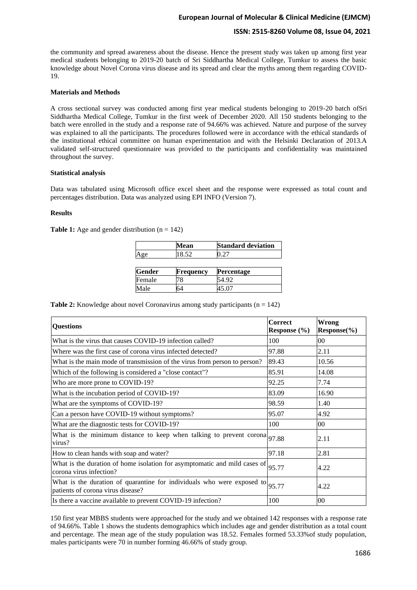# **European Journal of Molecular & Clinical Medicine (EJMCM)**

## **ISSN: 2515-8260 Volume 08, Issue 04, 2021**

the community and spread awareness about the disease. Hence the present study was taken up among first year medical students belonging to 2019-20 batch of Sri Siddhartha Medical College, Tumkur to assess the basic knowledge about Novel Corona virus disease and its spread and clear the myths among them regarding COVID-19.

### **Materials and Methods**

A cross sectional survey was conducted among first year medical students belonging to 2019-20 batch ofSri Siddhartha Medical College, Tumkur in the first week of December 2020. All 150 students belonging to the batch were enrolled in the study and a response rate of 94.66% was achieved. Nature and purpose of the survey was explained to all the participants. The procedures followed were in accordance with the ethical standards of the institutional ethical committee on human experimentation and with the Helsinki Declaration of 2013.A validated self-structured questionnaire was provided to the participants and confidentiality was maintained throughout the survey.

#### **Statistical analysis**

Data was tabulated using Microsoft office excel sheet and the response were expressed as total count and percentages distribution. Data was analyzed using EPI INFO (Version 7).

#### **Results**

**Table 1:** Age and gender distribution  $(n = 142)$ 

|               | Mean      | <b>Standard deviation</b><br>1.27 |  |
|---------------|-----------|-----------------------------------|--|
| Age           | 18.52     |                                   |  |
|               |           |                                   |  |
|               |           |                                   |  |
| <b>Gender</b> | Frequency | Percentage                        |  |
| Female        | 8 /       | 54.92                             |  |

**Table 2:** Knowledge about novel Coronavirus among study participants ( $n = 142$ )

| <b>Questions</b>                                                                                                      | <b>Correct</b><br>Response $(\% )$ | <b>Wrong</b><br>$Response(\% )$ |
|-----------------------------------------------------------------------------------------------------------------------|------------------------------------|---------------------------------|
| What is the virus that causes COVID-19 infection called?                                                              | 100                                | 00                              |
| Where was the first case of corona virus infected detected?                                                           | 97.88                              | 2.11                            |
| What is the main mode of transmission of the virus from person to person?                                             | 89.43                              | 10.56                           |
| Which of the following is considered a "close contact"?                                                               | 85.91                              | 14.08                           |
| Who are more prone to COVID-19?                                                                                       | 92.25                              | 7.74                            |
| What is the incubation period of COVID-19?                                                                            | 83.09                              | 16.90                           |
| What are the symptoms of COVID-19?                                                                                    | 98.59                              | 1.40                            |
| Can a person have COVID-19 without symptoms?                                                                          | 95.07                              | 4.92                            |
| What are the diagnostic tests for COVID-19?                                                                           | 100                                | $00\,$                          |
| What is the minimum distance to keep when talking to prevent corona $ 97.88\rangle$<br>virus?                         |                                    | 2.11                            |
| How to clean hands with soap and water?                                                                               | 97.18                              | 2.81                            |
| What is the duration of home isolation for asymptomatic and mild cases of $ 95.77$<br>corona virus infection?         |                                    | 4.22                            |
| What is the duration of quarantine for individuals who were exposed to $ 95.77 $<br>patients of corona virus disease? |                                    | 4.22                            |
| Is there a vaccine available to prevent COVID-19 infection?                                                           | 100                                | 00                              |

150 first year MBBS students were approached for the study and we obtained 142 responses with a response rate of 94.66%. Table 1 shows the students demographics which includes age and gender distribution as a total count and percentage. The mean age of the study population was 18.52. Females formed 53.33%of study population, males participants were 70 in number forming 46.66% of study group.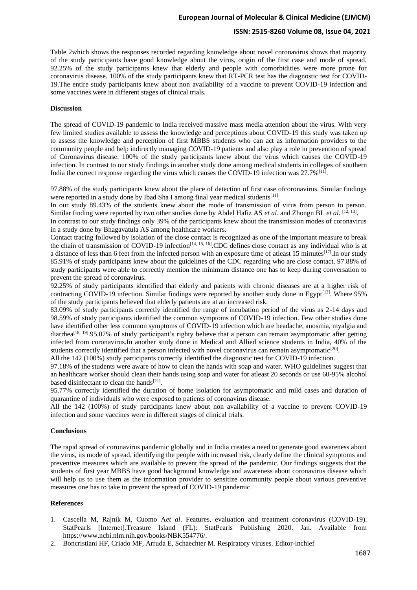# **European Journal of Molecular & Clinical Medicine (EJMCM)**

#### **ISSN: 2515-8260 Volume 08, Issue 04, 2021**

Table 2which shows the responses recorded regarding knowledge about novel coronavirus shows that majority of the study participants have good knowledge about the virus, origin of the first case and mode of spread. 92.25% of the study participants knew that elderly and people with comorbidities were more prone for coronavirus disease. 100% of the study participants knew that RT-PCR test has the diagnostic test for COVID-19.The entire study participants knew about non availability of a vaccine to prevent COVID-19 infection and some vaccines were in different stages of clinical trials.

#### **Discussion**

The spread of COVID-19 pandemic to India received massive mass media attention about the virus. With very few limited studies available to assess the knowledge and perceptions about COVID-19 this study was taken up to assess the knowledge and perception of first MBBS students who can act as information providers to the community people and help indirectly managing COVID-19 patients and also play a role in prevention of spread of Coronavirus disease. 100% of the study participants knew about the virus which causes the COVID-19 infection. In contrast to our study findings in another study done among medical students in colleges of southern India the correct response regarding the virus which causes the COVID-19 infection was 27.7%<sup>[11]</sup>.

97.88% of the study participants knew about the place of detection of first case ofcoronavirus. Similar findings were reported in a study done by Ibad Sha I among final year medical students<sup>[11]</sup>.

In our study 89.43% of the students knew about the mode of transmission of virus from person to person. Similar finding were reported by two other studies done by Abdel Hafiz AS *et al.* and Zhongn BL *et al.* [12, 13]

In contrast to our study findings only 39% of the participants knew about the transmission modes of coronavirus in a study done by Bhagavatula AS among healthcare workers.

Contact tracing followed by isolation of the close contact is recognized as one of the important measure to break the chain of transmission of COVID-19 infection<sup>[14, 15, 16]</sup>.CDC defines close contact as any individual who is at a distance of less than 6 feet from the infected person with an exposure time of atleast 15 minutes[17].In our study 85.91% of study participants knew about the guidelines of the CDC regarding who are close contact. 97.88% of study participants were able to correctly mention the minimum distance one has to keep during conversation to prevent the spread of coronavirus.

92.25% of study participants identified that elderly and patients with chronic diseases are at a higher risk of contracting COVID-19 infection. Similar findings were reported by another study done in Egypt $[12]$ . Where 95% of the study participants believed that elderly patients are at an increased risk.

83.09% of study participants correctly identified the range of incubation period of the virus as 2-14 days and 98.59% of study participants identified the common symptoms of COVID-19 infection. Few other studies done have identified other less common symptoms of COVID-19 infection which are headache, anosmia, myalgia and diarrhea<sup>[18, 19]</sup>.95.07% of study participant's righty believe that a person can remain asymptomatic after getting infected from coronavirus.In another study done in Medical and Allied science students in India, 40% of the students correctly identified that a person infected with novel coronavirus can remain asymptomatic<sup>[20]</sup>.

All the 142 (100%) study participants correctly identified the diagnostic test for COVID-19 infection.

97.18% of the students were aware of how to clean the hands with soap and water. WHO guidelines suggest that an healthcare worker should clean their hands using soap and water for atleast 20 seconds or use 60-95% alcohol based disinfectant to clean the hands<sup>[21]</sup>.

95.77% correctly identified the duration of home isolation for asymptomatic and mild cases and duration of quarantine of individuals who were exposed to patients of coronavirus disease.

All the 142 (100%) of study participants knew about non availability of a vaccine to prevent COVID-19 infection and some vaccines were in different stages of clinical trials.

#### **Conclusions**

The rapid spread of coronavirus pandemic globally and in India creates a need to generate good awareness about the virus, its mode of spread, identifying the people with increased risk, clearly define the clinical symptoms and preventive measures which are available to prevent the spread of the pandemic. Our findings suggests that the students of first year MBBS have good background knowledge and awareness about coronavirus disease which will help us to use them as the information provider to sensitize community people about various preventive measures one has to take to prevent the spread of COVID-19 pandemic.

#### **References**

- 1. Cascella M, Rajnik M, Cuomo A*et al*. Features, evaluation and treatment coronavirus (COVID-19). StatPearls [Internet].Treasure Island (FL): StatPearls Publishing 2020. Jan. Available from https://www.ncbi.nlm.nih.gov/books/NBK554776/.
- 2. Boncristiani HF, Criado MF, Arruda E, Schaechter M. Respiratory viruses. Editor-inchief